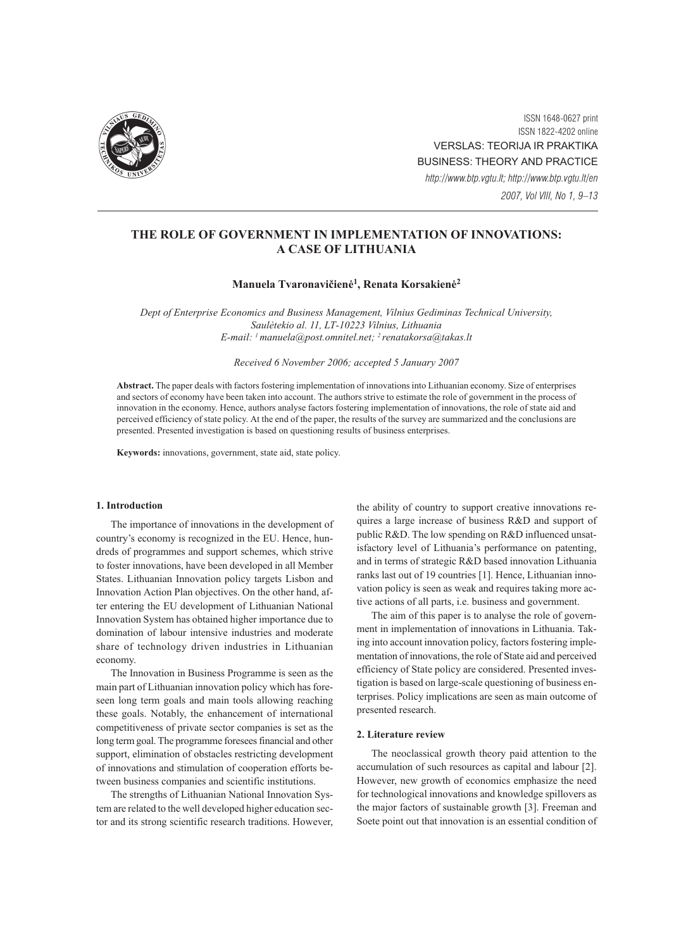

ISSN 1648-0627 print ISSN 1822-4202 online VERSLAS: TEORIJA IR PRAKTIKA BUSINESS: THEORY AND PRACTICE http://www.btp.vgtu.lt; http://www.btp.vgtu.lt/en 2007, Vol VIII, No 1, 9–13

# THE ROLE OF GOVERNMENT IN IMPLEMENTATION OF INNOVATIONS: A CASE OF LITHUANIA

# Manuela Tvaronavičienė<sup>1</sup>, Renata Korsakienė<sup>2</sup>

Dept of Enterprise Economics and Business Management, Vilnius Gediminas Technical University, Saulėtekio al. 11, LT-10223 Vilnius, Lithuania E-mail: <sup>1</sup> manuela@post.omnitel.net; <sup>2</sup> renatakorsa@takas.lt

Received 6 November 2006; accepted 5 January 2007

Abstract. The paper deals with factors fostering implementation of innovations into Lithuanian economy. Size of enterprises and sectors of economy have been taken into account. The authors strive to estimate the role of government in the process of innovation in the economy. Hence, authors analyse factors fostering implementation of innovations, the role of state aid and perceived efficiency of state policy. At the end of the paper, the results of the survey are summarized and the conclusions are presented. Presented investigation is based on questioning results of business enterprises.

Keywords: innovations, government, state aid, state policy.

#### 1. Introduction

The importance of innovations in the development of country's economy is recognized in the EU. Hence, hundreds of programmes and support schemes, which strive to foster innovations, have been developed in all Member States. Lithuanian Innovation policy targets Lisbon and Innovation Action Plan objectives. On the other hand, after entering the EU development of Lithuanian National Innovation System has obtained higher importance due to domination of labour intensive industries and moderate share of technology driven industries in Lithuanian economy.

The Innovation in Business Programme is seen as the main part of Lithuanian innovation policy which has foreseen long term goals and main tools allowing reaching these goals. Notably, the enhancement of international competitiveness of private sector companies is set as the long term goal. The programme foresees financial and other support, elimination of obstacles restricting development of innovations and stimulation of cooperation efforts between business companies and scientific institutions.

The strengths of Lithuanian National Innovation System are related to the well developed higher education sector and its strong scientific research traditions. However, the ability of country to support creative innovations requires a large increase of business R&D and support of public R&D. The low spending on R&D influenced unsatisfactory level of Lithuania's performance on patenting, and in terms of strategic R&D based innovation Lithuania ranks last out of 19 countries [1]. Hence, Lithuanian innovation policy is seen as weak and requires taking more active actions of all parts, i.e. business and government.

The aim of this paper is to analyse the role of government in implementation of innovations in Lithuania. Taking into account innovation policy, factors fostering implementation of innovations, the role of State aid and perceived efficiency of State policy are considered. Presented investigation is based on large-scale questioning of business enterprises. Policy implications are seen as main outcome of presented research.

## 2. Literature review

The neoclassical growth theory paid attention to the accumulation of such resources as capital and labour [2]. However, new growth of economics emphasize the need for technological innovations and knowledge spillovers as the major factors of sustainable growth [3]. Freeman and Soete point out that innovation is an essential condition of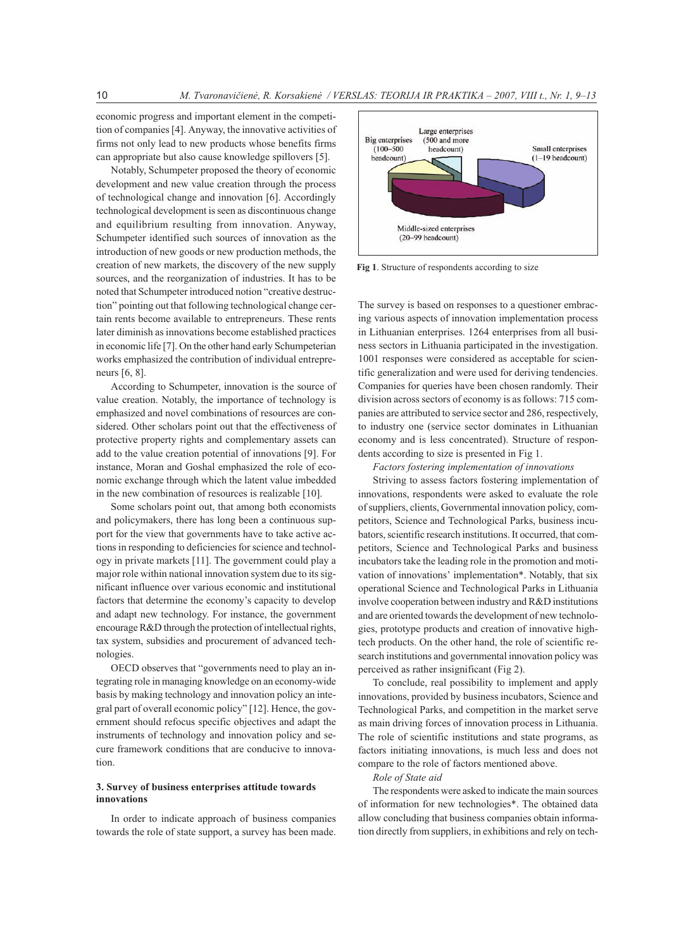economic progress and important element in the competition of companies [4]. Anyway, the innovative activities of firms not only lead to new products whose benefits firms can appropriate but also cause knowledge spillovers [5].

Notably, Schumpeter proposed the theory of economic development and new value creation through the process of technological change and innovation [6]. Accordingly technological development is seen as discontinuous change and equilibrium resulting from innovation. Anyway, Schumpeter identified such sources of innovation as the introduction of new goods or new production methods, the creation of new markets, the discovery of the new supply sources, and the reorganization of industries. It has to be noted that Schumpeter introduced notion "creative destruction" pointing out that following technological change certain rents become available to entrepreneurs. These rents later diminish as innovations become established practices in economic life [7]. On the other hand early Schumpeterian works emphasized the contribution of individual entrepreneurs [6, 8].

According to Schumpeter, innovation is the source of value creation. Notably, the importance of technology is emphasized and novel combinations of resources are considered. Other scholars point out that the effectiveness of protective property rights and complementary assets can add to the value creation potential of innovations [9]. For instance, Moran and Goshal emphasized the role of economic exchange through which the latent value imbedded in the new combination of resources is realizable [10].

Some scholars point out, that among both economists and policymakers, there has long been a continuous support for the view that governments have to take active actions in responding to deficiencies for science and technology in private markets [11]. The government could play a major role within national innovation system due to its significant influence over various economic and institutional factors that determine the economy's capacity to develop and adapt new technology. For instance, the government encourage R&D through the protection of intellectual rights, tax system, subsidies and procurement of advanced technologies.

OECD observes that "governments need to play an integrating role in managing knowledge on an economy-wide basis by making technology and innovation policy an integral part of overall economic policy" [12]. Hence, the government should refocus specific objectives and adapt the instruments of technology and innovation policy and secure framework conditions that are conducive to innovation.

# 3. Survey of business enterprises attitude towards innovations

In order to indicate approach of business companies towards the role of state support, a survey has been made.



Fig 1. Structure of respondents according to size

The survey is based on responses to a questioner embracing various aspects of innovation implementation process in Lithuanian enterprises. 1264 enterprises from all business sectors in Lithuania participated in the investigation. 1001 responses were considered as acceptable for scientific generalization and were used for deriving tendencies. Companies for queries have been chosen randomly. Their division across sectors of economy is as follows: 715 companies are attributed to service sector and 286, respectively, to industry one (service sector dominates in Lithuanian economy and is less concentrated). Structure of respondents according to size is presented in Fig 1.

#### Factors fostering implementation of innovations

Striving to assess factors fostering implementation of innovations, respondents were asked to evaluate the role of suppliers, clients, Governmental innovation policy, competitors, Science and Technological Parks, business incubators, scientific research institutions. It occurred, that competitors, Science and Technological Parks and business incubators take the leading role in the promotion and motivation of innovations' implementation\*. Notably, that six operational Science and Technological Parks in Lithuania involve cooperation between industry and R&D institutions and are oriented towards the development of new technologies, prototype products and creation of innovative hightech products. On the other hand, the role of scientific research institutions and governmental innovation policy was perceived as rather insignificant (Fig 2).

To conclude, real possibility to implement and apply innovations, provided by business incubators, Science and Technological Parks, and competition in the market serve as main driving forces of innovation process in Lithuania. The role of scientific institutions and state programs, as factors initiating innovations, is much less and does not compare to the role of factors mentioned above.

#### Role of State aid

The respondents were asked to indicate the main sources of information for new technologies\*. The obtained data allow concluding that business companies obtain information directly from suppliers, in exhibitions and rely on tech-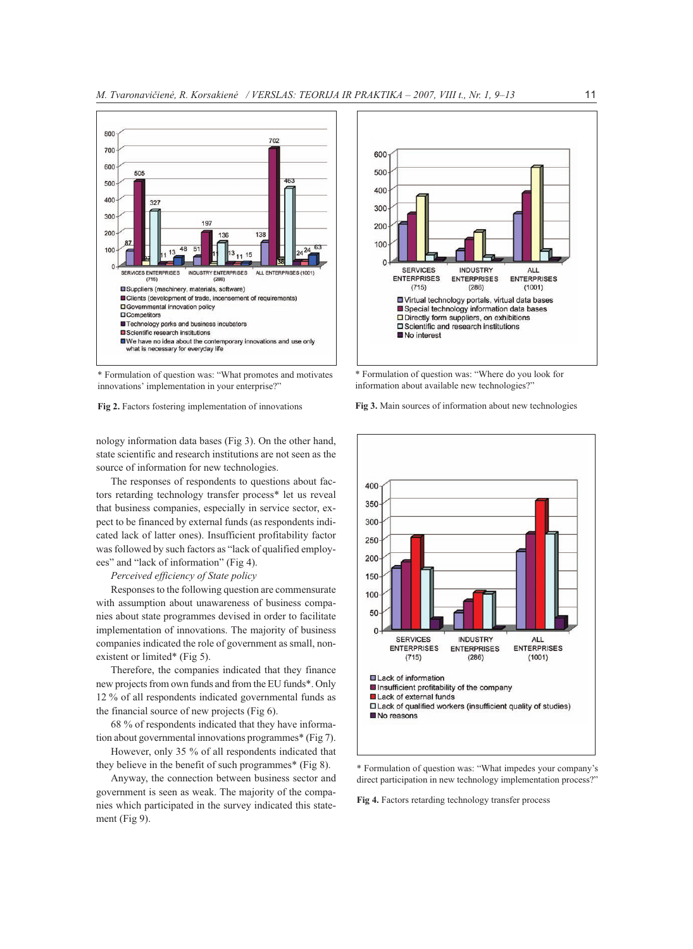

\* Formulation of question was: "What promotes and motivates innovations' implementation in your enterprise?"

nology information data bases (Fig 3). On the other hand, state scientific and research institutions are not seen as the source of information for new technologies.

The responses of respondents to questions about factors retarding technology transfer process\* let us reveal that business companies, especially in service sector, expect to be financed by external funds (as respondents indicated lack of latter ones). Insufficient profitability factor was followed by such factors as "lack of qualified employees" and "lack of information" (Fig 4).

#### Perceived efficiency of State policy

Responses to the following question are commensurate with assumption about unawareness of business companies about state programmes devised in order to facilitate implementation of innovations. The majority of business companies indicated the role of government as small, nonexistent or limited\* (Fig 5).

Therefore, the companies indicated that they finance new projects from own funds and from the EU funds\*. Only 12 % of all respondents indicated governmental funds as the financial source of new projects (Fig 6).

68 % of respondents indicated that they have information about governmental innovations programmes\* (Fig 7).

However, only 35 % of all respondents indicated that they believe in the benefit of such programmes\* (Fig 8).

Anyway, the connection between business sector and government is seen as weak. The majority of the companies which participated in the survey indicated this statement (Fig 9).



\* Formulation of question was: "Where do you look for information about available new technologies?"

Fig 3. Main sources of information about new technologies



\* Formulation of question was: "What impedes your company's direct participation in new technology implementation process?"

Fig 4. Factors retarding technology transfer process

Fig 2. Factors fostering implementation of innovations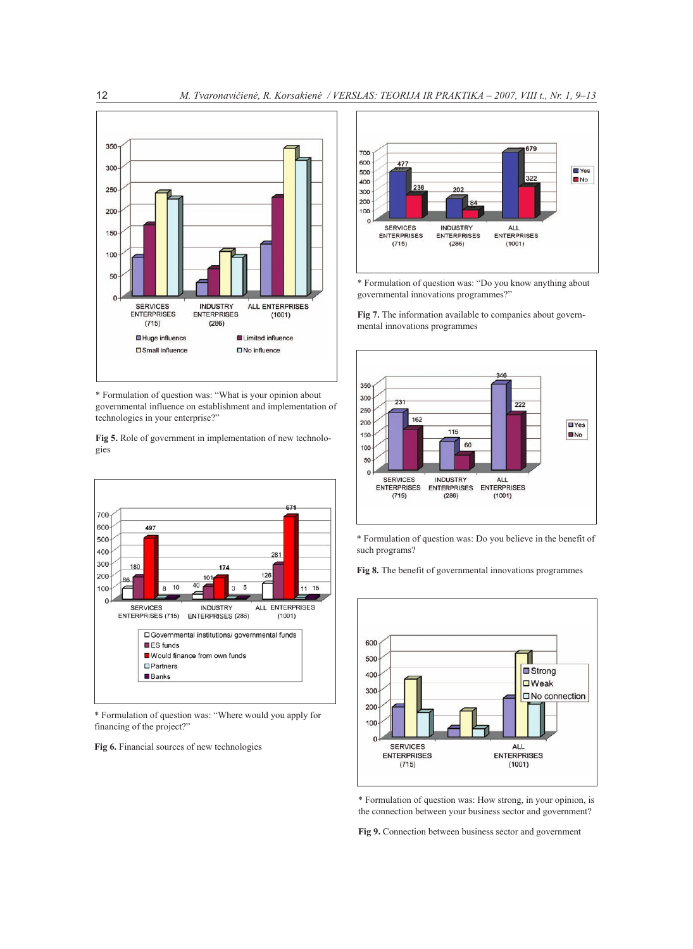

\* Formulation of question was: "What is your opinion about governmental influence on establishment and implementation of technologies in your enterprise?"

Fig 5. Role of government in implementation of new technologies



\* Formulation of question was: "Where would you apply for financing of the project?"

Fig 6. Financial sources of new technologies



\* Formulation of question was: "Do you know anything about governmental innovations programmes?"

Fig 7. The information available to companies about governmental innovations programmes



\* Formulation of question was: Do you believe in the benefit of such programs?

Fig 8. The benefit of governmental innovations programmes



\* Formulation of question was: How strong, in your opinion, is the connection between your business sector and government?

Fig 9. Connection between business sector and government